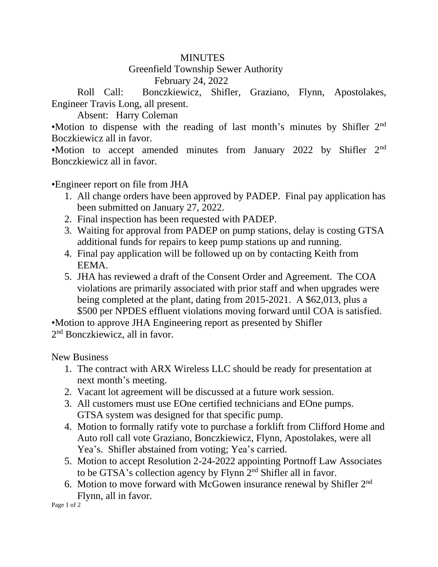## **MINUTES**

## Greenfield Township Sewer Authority February 24, 2022

Roll Call: Bonczkiewicz, Shifler, Graziano, Flynn, Apostolakes, Engineer Travis Long, all present.

Absent: Harry Coleman

•Motion to dispense with the reading of last month's minutes by Shifler 2<sup>nd</sup> Boczkiewicz all in favor.

•Motion to accept amended minutes from January 2022 by Shifler 2nd Bonczkiewicz all in favor.

•Engineer report on file from JHA

- 1. All change orders have been approved by PADEP. Final pay application has been submitted on January 27, 2022.
- 2. Final inspection has been requested with PADEP.
- 3. Waiting for approval from PADEP on pump stations, delay is costing GTSA additional funds for repairs to keep pump stations up and running.
- 4. Final pay application will be followed up on by contacting Keith from EEMA.
- 5. JHA has reviewed a draft of the Consent Order and Agreement. The COA violations are primarily associated with prior staff and when upgrades were being completed at the plant, dating from 2015-2021. A \$62,013, plus a \$500 per NPDES effluent violations moving forward until COA is satisfied.

•Motion to approve JHA Engineering report as presented by Shifler 2<sup>nd</sup> Bonczkiewicz, all in favor.

New Business

- 1. The contract with ARX Wireless LLC should be ready for presentation at next month's meeting.
- 2. Vacant lot agreement will be discussed at a future work session.
- 3. All customers must use EOne certified technicians and EOne pumps. GTSA system was designed for that specific pump.
- 4. Motion to formally ratify vote to purchase a forklift from Clifford Home and Auto roll call vote Graziano, Bonczkiewicz, Flynn, Apostolakes, were all Yea's. Shifler abstained from voting; Yea's carried.
- 5. Motion to accept Resolution 2-24-2022 appointing Portnoff Law Associates to be GTSA's collection agency by Flynn 2nd Shifler all in favor.
- 6. Motion to move forward with McGowen insurance renewal by Shifler 2nd Flynn, all in favor.

Page 1 of 2